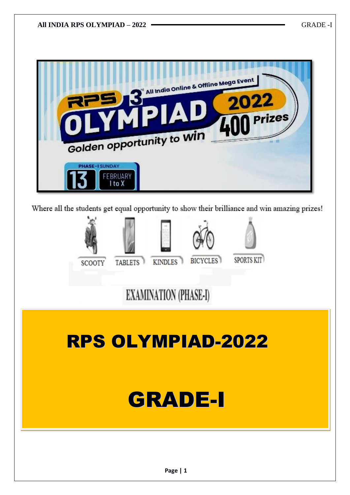

Where all the students get equal opportunity to show their brilliance and win amazing prizes!



# **EXAMINATION (PHASE-I)**

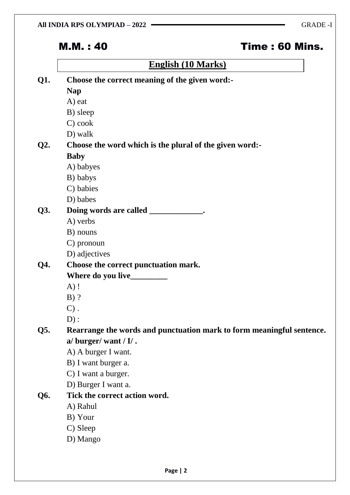## M.M. : 40 Time : 60 Mins.

## **English (10 Marks)**

|  | Choose the correct meaning of the given word:-                        |
|--|-----------------------------------------------------------------------|
|  | <b>Nap</b>                                                            |
|  | A) eat                                                                |
|  | B) sleep                                                              |
|  | C) cook                                                               |
|  | D) walk                                                               |
|  | Choose the word which is the plural of the given word:-               |
|  | <b>Baby</b>                                                           |
|  | A) babyes                                                             |
|  | B) babys                                                              |
|  | C) babies                                                             |
|  | D) babes                                                              |
|  | Doing words are called _____________.                                 |
|  | A) verbs                                                              |
|  | B) nouns                                                              |
|  | C) pronoun                                                            |
|  | D) adjectives                                                         |
|  | Choose the correct punctuation mark.                                  |
|  |                                                                       |
|  | $A)$ !                                                                |
|  | $B)$ ?                                                                |
|  | $C)$ .                                                                |
|  | D):                                                                   |
|  | Rearrange the words and punctuation mark to form meaningful sentence. |
|  | a/ burger/ want / $I/$ .                                              |
|  | A) A burger I want.                                                   |
|  | B) I want burger a.                                                   |
|  | C) I want a burger.                                                   |
|  | D) Burger I want a.                                                   |
|  | Tick the correct action word.                                         |
|  | A) Rahul                                                              |
|  | B) Your                                                               |
|  | C) Sleep                                                              |
|  |                                                                       |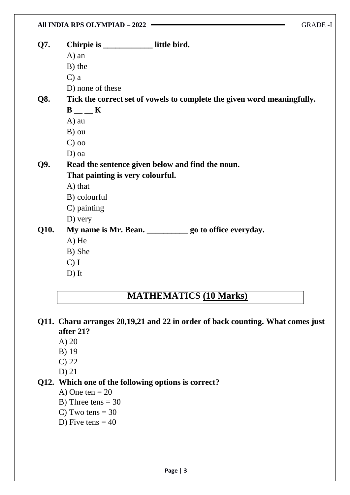| Q7.  | Chirpie is ______________ little bird.                                  |
|------|-------------------------------------------------------------------------|
|      | $A)$ an                                                                 |
|      | B) the                                                                  |
|      | $C$ ) a                                                                 |
|      | D) none of these                                                        |
| Q8.  | Tick the correct set of vowels to complete the given word meaningfully. |
|      | $B$ <sub>--</sub> K                                                     |
|      | A) au                                                                   |
|      | B) ou                                                                   |
|      | $C$ ) oo                                                                |
|      | $D)$ oa                                                                 |
| Q9.  | Read the sentence given below and find the noun.                        |
|      | That painting is very colourful.                                        |
|      | A) that                                                                 |
|      | B) colourful                                                            |
|      | C) painting                                                             |
|      | $D)$ very                                                               |
| Q10. | My name is Mr. Bean. _______________ go to office everyday.             |
|      | A) He                                                                   |
|      | B) She                                                                  |
|      | $C)$ I                                                                  |
|      | $D)$ It                                                                 |

## **MATHEMATICS (10 Marks)**

- **Q11. Charu arranges 20,19,21 and 22 in order of back counting. What comes just after 21?**
	- A) 20
	- B) 19
	- C) 22
	- D) 21

#### **Q12. Which one of the following options is correct?**

- A) One ten  $= 20$
- B) Three tens  $= 30$
- C) Two tens  $= 30$
- D) Five tens  $= 40$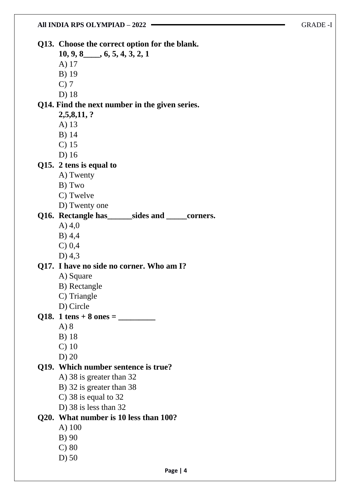**Q13. Choose the correct option for the blank.**

**10, 9, 8\_\_\_\_, 6, 5, 4, 3, 2, 1**

- A) 17
- B) 19
- C) 7
- D) 18

#### **Q14. Find the next number in the given series.**

- **2,5,8,11, ?**
- A) 13
- B) 14
- C) 15
- D) 16

#### **Q15. 2 tens is equal to**

- A) Twenty
- B) Two
- C) Twelve
- D) Twenty one

#### **Q16. Rectangle has\_\_\_\_\_\_sides and \_\_\_\_\_corners.**

- A) 4,0
- B) 4,4
- C) 0,4
- D) 4,3

#### **Q17. I have no side no corner. Who am I?**

- A) Square
- B) Rectangle
- C) Triangle
- D) Circle
- **Q18. 1 tens + 8 ones = \_\_\_\_\_\_\_\_\_**
	- A) 8
	- B) 18
	- C) 10
	- D) 20

#### **Q19. Which number sentence is true?**

- A) 38 is greater than 32
- B) 32 is greater than 38
- C) 38 is equal to 32
- D) 38 is less than 32

### **Q20. What number is 10 less than 100?**

- A) 100
- B) 90
- C) 80
- D) 50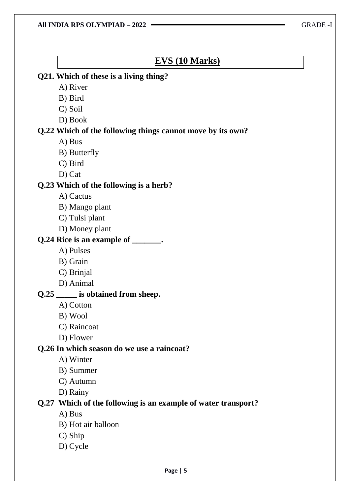## **EVS (10 Marks)**

#### **Q21. Which of these is a living thing?**

- A) River
- B) Bird
- C) Soil
- D) Book

#### **Q.22 Which of the following things cannot move by its own?**

- A) Bus
- B) Butterfly
- C) Bird
- D) Cat

#### **Q.23 Which of the following is a herb?**

- A) Cactus
- B) Mango plant
- C) Tulsi plant
- D) Money plant

#### **Q.24 Rice is an example of \_\_\_\_\_\_\_.**

- A) Pulses
- B) Grain
- C) Brinjal
- D) Animal

#### **Q.25 \_\_\_\_\_ is obtained from sheep.**

- A) Cotton
- B) Wool
- C) Raincoat
- D) Flower

#### **Q.26 In which season do we use a raincoat?**

- A) Winter
- B) Summer
- C) Autumn
- D) Rainy

#### **Q.27 Which of the following is an example of water transport?**

- A) Bus
- B) Hot air balloon
- C) Ship
- D) Cycle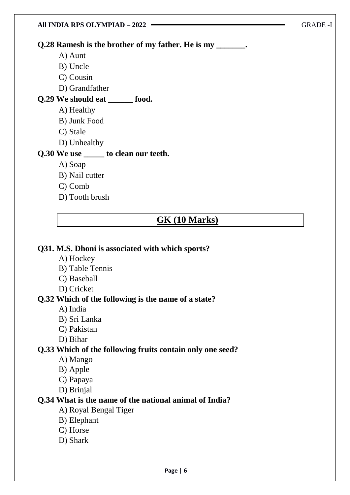| All INDIA RPS OLYMPIAD - 2022                              | <b>GRADE -1</b> |
|------------------------------------------------------------|-----------------|
| Q.28 Ramesh is the brother of my father. He is my _______. |                 |
| A) Aunt                                                    |                 |
| B) Uncle                                                   |                 |
| C) Cousin                                                  |                 |
| D) Grandfather                                             |                 |
| Q.29 We should eat<br>food.                                |                 |
| A) Healthy                                                 |                 |
| B) Junk Food                                               |                 |
| C) Stale                                                   |                 |
| D) Unhealthy                                               |                 |
| Q.30 We use ______ to clean our teeth.                     |                 |
| A) Soap                                                    |                 |
| B) Nail cutter                                             |                 |

- C) Comb
- D) Tooth brush

#### **GK (10 Marks)**

#### **Q31. M.S. Dhoni is associated with which sports?**

- A) Hockey
- B) Table Tennis
- C) Baseball
- D) Cricket

#### **Q.32 Which of the following is the name of a state?**

- A) India
- B) Sri Lanka
- C) Pakistan
- D) Bihar

#### **Q.33 Which of the following fruits contain only one seed?**

- A) Mango
- B) Apple
- C) Papaya
- D) Brinjal

#### **Q.34 What is the name of the national animal of India?**

- A) Royal Bengal Tiger
- B) Elephant
- C) Horse
- D) Shark